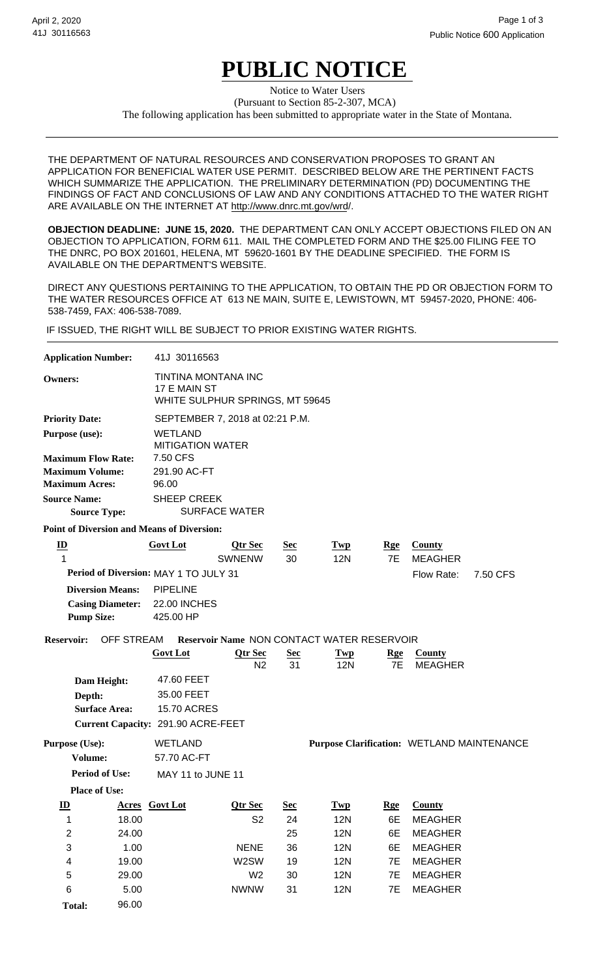# **PUBLIC NOTICE**

(Pursuant to Section 85-2-307, MCA) Notice to Water Users The following application has been submitted to appropriate water in the State of Montana.

THE DEPARTMENT OF NATURAL RESOURCES AND CONSERVATION PROPOSES TO GRANT AN APPLICATION FOR BENEFICIAL WATER USE PERMIT. DESCRIBED BELOW ARE THE PERTINENT FACTS WHICH SUMMARIZE THE APPLICATION. THE PRELIMINARY DETERMINATION (PD) DOCUMENTING THE FINDINGS OF FACT AND CONCLUSIONS OF LAW AND ANY CONDITIONS ATTACHED TO THE WATER RIGHT ARE AVAILABLE ON THE INTERNET AT http://www.dnrc.mt.gov/wrd/.

**OBJECTION DEADLINE: JUNE 15, 2020.** THE DEPARTMENT CAN ONLY ACCEPT OBJECTIONS FILED ON AN OBJECTION TO APPLICATION, FORM 611. MAIL THE COMPLETED FORM AND THE \$25.00 FILING FEE TO THE DNRC, PO BOX 201601, HELENA, MT 59620-1601 BY THE DEADLINE SPECIFIED. THE FORM IS AVAILABLE ON THE DEPARTMENT'S WEBSITE.

DIRECT ANY QUESTIONS PERTAINING TO THE APPLICATION, TO OBTAIN THE PD OR OBJECTION FORM TO THE WATER RESOURCES OFFICE AT 613 NE MAIN, SUITE E, LEWISTOWN, MT 59457-2020, PHONE: 406- 538-7459, FAX: 406-538-7089.

IF ISSUED, THE RIGHT WILL BE SUBJECT TO PRIOR EXISTING WATER RIGHTS.

| <b>Application Number:</b>                                                                          |                         | 41J 30116563                                      |                                               |                  |                                                   |                  |                                 |          |  |  |
|-----------------------------------------------------------------------------------------------------|-------------------------|---------------------------------------------------|-----------------------------------------------|------------------|---------------------------------------------------|------------------|---------------------------------|----------|--|--|
| TINTINA MONTANA INC<br><b>Owners:</b><br>17 E MAIN ST<br>WHITE SULPHUR SPRINGS, MT 59645            |                         |                                                   |                                               |                  |                                                   |                  |                                 |          |  |  |
| <b>Priority Date:</b>                                                                               |                         |                                                   | SEPTEMBER 7, 2018 at 02:21 P.M.               |                  |                                                   |                  |                                 |          |  |  |
| Purpose (use):                                                                                      |                         | <b>WETLAND</b>                                    |                                               |                  |                                                   |                  |                                 |          |  |  |
| <b>Maximum Flow Rate:</b><br><b>Maximum Volume:</b><br><b>Maximum Acres:</b><br><b>Source Name:</b> |                         | 7.50 CFS<br>291.90 AC-FT<br>96.00                 | <b>MITIGATION WATER</b><br><b>SHEEP CREEK</b> |                  |                                                   |                  |                                 |          |  |  |
| <b>Source Type:</b>                                                                                 |                         | <b>SURFACE WATER</b>                              |                                               |                  |                                                   |                  |                                 |          |  |  |
|                                                                                                     |                         | <b>Point of Diversion and Means of Diversion:</b> |                                               |                  |                                                   |                  |                                 |          |  |  |
| $\underline{\mathbf{D}}$<br>1                                                                       |                         | <b>Govt Lot</b>                                   | <b>Qtr Sec</b><br><b>SWNENW</b>               | <u>Sec</u><br>30 | <b>Twp</b><br><b>12N</b>                          | <u>Rge</u><br>7E | <b>County</b><br><b>MEAGHER</b> |          |  |  |
| Period of Diversion: MAY 1 TO JULY 31                                                               |                         |                                                   |                                               |                  |                                                   |                  | Flow Rate:                      | 7.50 CFS |  |  |
|                                                                                                     | <b>Diversion Means:</b> | <b>PIPELINE</b>                                   |                                               |                  |                                                   |                  |                                 |          |  |  |
|                                                                                                     | <b>Casing Diameter:</b> | <b>22.00 INCHES</b>                               |                                               |                  |                                                   |                  |                                 |          |  |  |
| <b>Pump Size:</b>                                                                                   |                         | 425.00 HP                                         |                                               |                  |                                                   |                  |                                 |          |  |  |
| <b>Reservoir:</b>                                                                                   | <b>OFF STREAM</b>       |                                                   |                                               |                  | <b>Reservoir Name NON CONTACT WATER RESERVOIR</b> |                  |                                 |          |  |  |
|                                                                                                     |                         | <b>Govt Lot</b>                                   | <b>Qtr Sec</b><br>N <sub>2</sub>              | <u>Sec</u><br>31 | <b>Twp</b><br><b>12N</b>                          | <u>Rge</u><br>7E | <b>County</b><br><b>MEAGHER</b> |          |  |  |
| Dam Height:                                                                                         |                         | 47.60 FEET                                        |                                               |                  |                                                   |                  |                                 |          |  |  |
| Depth:                                                                                              |                         | 35.00 FEET                                        |                                               |                  |                                                   |                  |                                 |          |  |  |
|                                                                                                     | <b>Surface Area:</b>    | <b>15.70 ACRES</b>                                |                                               |                  |                                                   |                  |                                 |          |  |  |
|                                                                                                     |                         | Current Capacity: 291.90 ACRE-FEET                |                                               |                  |                                                   |                  |                                 |          |  |  |
| Purpose (Use):                                                                                      |                         | <b>WETLAND</b>                                    |                                               |                  | Purpose Clarification: WETLAND MAINTENANCE        |                  |                                 |          |  |  |
| Volume:                                                                                             |                         | 57.70 AC-FT                                       |                                               |                  |                                                   |                  |                                 |          |  |  |
| <b>Period of Use:</b>                                                                               |                         |                                                   | MAY 11 to JUNE 11                             |                  |                                                   |                  |                                 |          |  |  |
| <b>Place of Use:</b>                                                                                |                         |                                                   |                                               |                  |                                                   |                  |                                 |          |  |  |
| $\underline{\mathbf{ID}}$                                                                           |                         | <b>Acres</b> Govt Lot                             | <b>Qtr Sec</b>                                | <u>Sec</u>       | <b>Twp</b>                                        | <b>Rge</b>       | <b>County</b>                   |          |  |  |
| 1                                                                                                   | 18.00                   |                                                   | S <sub>2</sub>                                | 24               | <b>12N</b>                                        | 6E               | <b>MEAGHER</b>                  |          |  |  |
| $\boldsymbol{2}$                                                                                    | 24.00                   |                                                   |                                               | 25               | <b>12N</b>                                        | 6E               | <b>MEAGHER</b>                  |          |  |  |
| $\ensuremath{\mathsf{3}}$                                                                           | 1.00                    |                                                   | <b>NENE</b>                                   | 36               | <b>12N</b>                                        | 6E               | <b>MEAGHER</b>                  |          |  |  |
| 4                                                                                                   | 19.00                   |                                                   | W2SW                                          | 19               | <b>12N</b>                                        | 7E               | <b>MEAGHER</b>                  |          |  |  |
| 5                                                                                                   | 29.00                   |                                                   | W <sub>2</sub>                                | 30               | <b>12N</b>                                        | 7E               | <b>MEAGHER</b>                  |          |  |  |
| 6                                                                                                   | 5.00                    |                                                   | <b>NWNW</b>                                   | 31               | <b>12N</b>                                        | 7E               | <b>MEAGHER</b>                  |          |  |  |
| <b>Total:</b>                                                                                       | 96.00                   |                                                   |                                               |                  |                                                   |                  |                                 |          |  |  |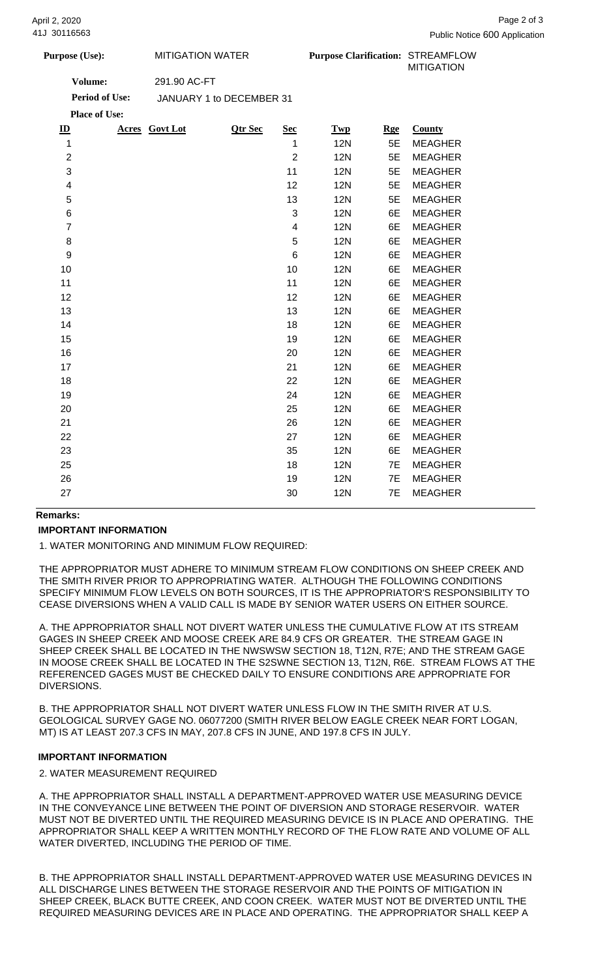| <b>Purpose (Use):</b> | MITIGATION WATER         | <b>Purpose Clarification: STREAMFLOW</b> | <b>MITIGATION</b> |
|-----------------------|--------------------------|------------------------------------------|-------------------|
| Volume:               | 291.90 AC-FT             |                                          |                   |
| <b>Period of Use:</b> | JANUARY 1 to DECEMBER 31 |                                          |                   |

|                           | <b>Place of Use:</b> |                |                         |            |            |                |
|---------------------------|----------------------|----------------|-------------------------|------------|------------|----------------|
| $\underline{\mathbf{ID}}$ | Acres Govt Lot       | <b>Qtr Sec</b> | <b>Sec</b>              | <b>Twp</b> | <b>Rge</b> | County         |
| $\mathbf{1}$              |                      |                | 1                       | <b>12N</b> | 5E         | <b>MEAGHER</b> |
| $\overline{\mathbf{c}}$   |                      |                | $\overline{2}$          | <b>12N</b> | 5E         | <b>MEAGHER</b> |
| 3                         |                      |                | 11                      | <b>12N</b> | 5E         | <b>MEAGHER</b> |
| 4                         |                      |                | 12                      | <b>12N</b> | 5E         | <b>MEAGHER</b> |
| 5                         |                      |                | 13                      | <b>12N</b> | 5E         | <b>MEAGHER</b> |
| $\,$ 6 $\,$               |                      |                | 3                       | <b>12N</b> | 6E         | <b>MEAGHER</b> |
| $\overline{7}$            |                      |                | $\overline{\mathbf{4}}$ | <b>12N</b> | 6E         | <b>MEAGHER</b> |
| 8                         |                      |                | 5                       | <b>12N</b> | 6E         | <b>MEAGHER</b> |
| $\boldsymbol{9}$          |                      |                | 6                       | <b>12N</b> | 6E         | <b>MEAGHER</b> |
| 10                        |                      |                | 10                      | <b>12N</b> | 6E         | <b>MEAGHER</b> |
| 11                        |                      |                | 11                      | <b>12N</b> | 6E         | <b>MEAGHER</b> |
| 12                        |                      |                | 12                      | <b>12N</b> | 6E         | <b>MEAGHER</b> |
| 13                        |                      |                | 13                      | <b>12N</b> | 6E         | <b>MEAGHER</b> |
| 14                        |                      |                | 18                      | <b>12N</b> | 6E         | <b>MEAGHER</b> |
| 15                        |                      |                | 19                      | <b>12N</b> | 6E         | <b>MEAGHER</b> |
| 16                        |                      |                | 20                      | <b>12N</b> | 6E         | <b>MEAGHER</b> |
| 17                        |                      |                | 21                      | <b>12N</b> | 6E         | <b>MEAGHER</b> |
| 18                        |                      |                | 22                      | <b>12N</b> | 6E         | <b>MEAGHER</b> |
| 19                        |                      |                | 24                      | <b>12N</b> | 6E         | <b>MEAGHER</b> |
| 20                        |                      |                | 25                      | <b>12N</b> | 6E         | <b>MEAGHER</b> |
| 21                        |                      |                | 26                      | <b>12N</b> | 6E         | <b>MEAGHER</b> |
| 22                        |                      |                | 27                      | <b>12N</b> | 6E         | <b>MEAGHER</b> |
| 23                        |                      |                | 35                      | <b>12N</b> | 6E         | <b>MEAGHER</b> |
| 25                        |                      |                | 18                      | <b>12N</b> | 7E         | <b>MEAGHER</b> |
| 26                        |                      |                | 19                      | <b>12N</b> | 7E         | <b>MEAGHER</b> |
| 27                        |                      |                | 30                      | <b>12N</b> | 7E         | <b>MEAGHER</b> |
|                           |                      |                |                         |            |            |                |

## **Remarks:**

#### **IMPORTANT INFORMATION**

1. WATER MONITORING AND MINIMUM FLOW REQUIRED:

THE APPROPRIATOR MUST ADHERE TO MINIMUM STREAM FLOW CONDITIONS ON SHEEP CREEK AND THE SMITH RIVER PRIOR TO APPROPRIATING WATER. ALTHOUGH THE FOLLOWING CONDITIONS SPECIFY MINIMUM FLOW LEVELS ON BOTH SOURCES, IT IS THE APPROPRIATOR'S RESPONSIBILITY TO CEASE DIVERSIONS WHEN A VALID CALL IS MADE BY SENIOR WATER USERS ON EITHER SOURCE.

A. THE APPROPRIATOR SHALL NOT DIVERT WATER UNLESS THE CUMULATIVE FLOW AT ITS STREAM GAGES IN SHEEP CREEK AND MOOSE CREEK ARE 84.9 CFS OR GREATER. THE STREAM GAGE IN SHEEP CREEK SHALL BE LOCATED IN THE NWSWSW SECTION 18, T12N, R7E; AND THE STREAM GAGE IN MOOSE CREEK SHALL BE LOCATED IN THE S2SWNE SECTION 13, T12N, R6E. STREAM FLOWS AT THE REFERENCED GAGES MUST BE CHECKED DAILY TO ENSURE CONDITIONS ARE APPROPRIATE FOR DIVERSIONS.

B. THE APPROPRIATOR SHALL NOT DIVERT WATER UNLESS FLOW IN THE SMITH RIVER AT U.S. GEOLOGICAL SURVEY GAGE NO. 06077200 (SMITH RIVER BELOW EAGLE CREEK NEAR FORT LOGAN, MT) IS AT LEAST 207.3 CFS IN MAY, 207.8 CFS IN JUNE, AND 197.8 CFS IN JULY.

### **IMPORTANT INFORMATION**

2. WATER MEASUREMENT REQUIRED

A. THE APPROPRIATOR SHALL INSTALL A DEPARTMENT-APPROVED WATER USE MEASURING DEVICE IN THE CONVEYANCE LINE BETWEEN THE POINT OF DIVERSION AND STORAGE RESERVOIR. WATER MUST NOT BE DIVERTED UNTIL THE REQUIRED MEASURING DEVICE IS IN PLACE AND OPERATING. THE APPROPRIATOR SHALL KEEP A WRITTEN MONTHLY RECORD OF THE FLOW RATE AND VOLUME OF ALL WATER DIVERTED, INCLUDING THE PERIOD OF TIME.

B. THE APPROPRIATOR SHALL INSTALL DEPARTMENT-APPROVED WATER USE MEASURING DEVICES IN ALL DISCHARGE LINES BETWEEN THE STORAGE RESERVOIR AND THE POINTS OF MITIGATION IN SHEEP CREEK, BLACK BUTTE CREEK, AND COON CREEK. WATER MUST NOT BE DIVERTED UNTIL THE REQUIRED MEASURING DEVICES ARE IN PLACE AND OPERATING. THE APPROPRIATOR SHALL KEEP A